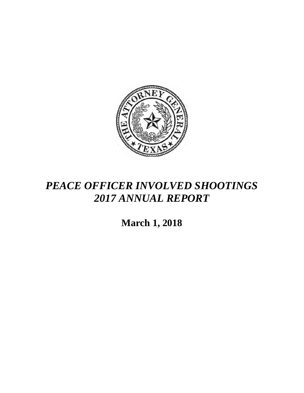

## *PEACE OFFICER INVOLVED SHOOTINGS 2017 ANNUAL REPORT*

**March 1, 2018**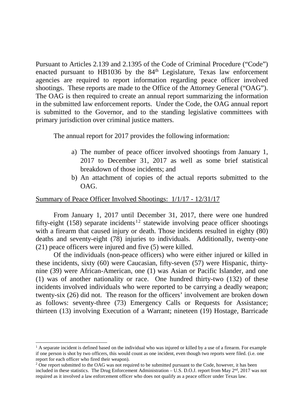Pursuant to Articles 2.139 and 2.1395 of the Code of Criminal Procedure ("Code") enacted pursuant to HB1036 by the  $84<sup>th</sup>$  Legislature, Texas law enforcement agencies are required to report information regarding peace officer involved shootings. These reports are made to the Office of the Attorney General ("OAG"). The OAG is then required to create an annual report summarizing the information in the submitted law enforcement reports. Under the Code, the OAG annual report is submitted to the Governor, and to the standing legislative committees with primary jurisdiction over criminal justice matters.

The annual report for 2017 provides the following information:

- a) The number of peace officer involved shootings from January 1, 2017 to December 31, 2017 as well as some brief statistical breakdown of those incidents; and
- b) An attachment of copies of the actual reports submitted to the OAG.

## Summary of Peace Officer Involved Shootings: 1/1/17 - 12/31/17

From January 1, 2017 until December 31, 2017, there were one hundred fifty-eight (158) separate incidents<sup>12</sup> statewide involving peace officer shootings with a firearm that caused injury or death. Those incidents resulted in eighty (80) deaths and seventy-eight (78) injuries to individuals. Additionally, twenty-one (21) peace officers were injured and five (5) were killed.

Of the individuals (non-peace officers) who were either injured or killed in these incidents, sixty (60) were Caucasian, fifty-seven (57) were Hispanic, thirtynine (39) were African-American, one (1) was Asian or Pacific Islander, and one (1) was of another nationality or race. One hundred thirty-two (132) of these incidents involved individuals who were reported to be carrying a deadly weapon; twenty-six (26) did not. The reason for the officers' involvement are broken down as follows: seventy-three (73) Emergency Calls or Requests for Assistance; thirteen (13) involving Execution of a Warrant; nineteen (19) Hostage, Barricade

 $\overline{a}$  $<sup>1</sup>$  A separate incident is defined based on the individual who was injured or killed by a use of a firearm. For example</sup> if one person is shot by two officers, this would count as one incident, even though two reports were filed. (i.e. one report for each officer who fired their weapon).

<sup>&</sup>lt;sup>2</sup> One report submitted to the OAG was not required to be submitted pursuant to the Code, however, it has been included in these statistics. The Drug Enforcement Administration – U.S. D.O.J. report from May  $2<sup>nd</sup>$ , 2017 was not required as it involved a law enforcement officer who does not qualify as a peace officer under Texas law.